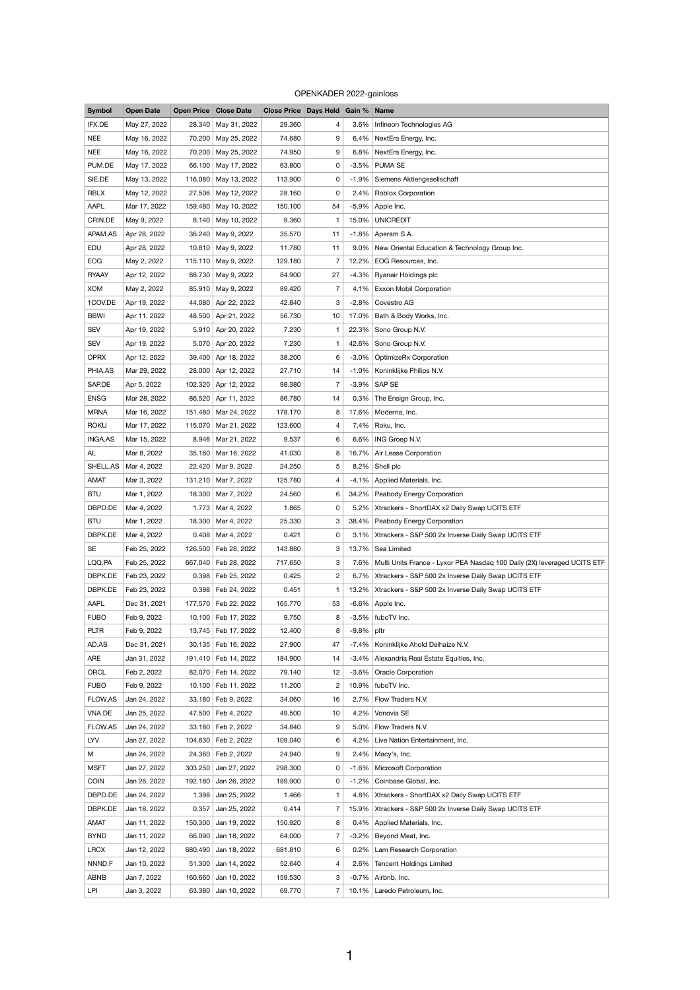## OPENKADER 2022-gainloss

| <b>Symbol</b> | <b>Open Date</b> |       | <b>Open Price Close Date</b> | Close Price   Days Held   Gain %   Name |                |          |                                                                          |
|---------------|------------------|-------|------------------------------|-----------------------------------------|----------------|----------|--------------------------------------------------------------------------|
| IFX.DE        | May 27, 2022     |       | 28.340 May 31, 2022          | 29.360                                  | 4              | 3.6%     | Infineon Technologies AG                                                 |
| <b>NEE</b>    | May 16, 2022     |       | 70.200 May 25, 2022          | 74.680                                  | 9              | 6.4%     | NextEra Energy, Inc.                                                     |
| <b>NEE</b>    | May 16, 2022     |       | 70.200 May 25, 2022          | 74.950                                  | 9              | 6.8%     | NextEra Energy, Inc.                                                     |
| PUM.DE        | May 17, 2022     |       | 66.100 May 17, 2022          | 63.800                                  | 0              | $-3.5%$  | <b>PUMA SE</b>                                                           |
| SIE.DE        | May 13, 2022     |       | 116.080 May 13, 2022         | 113.900                                 | 0              | $-1.9\%$ | Siemens Aktiengesellschaft                                               |
| <b>RBLX</b>   | May 12, 2022     |       | 27.506 May 12, 2022          | 28.160                                  | 0              | 2.4%     | <b>Roblox Corporation</b>                                                |
| <b>AAPL</b>   | Mar 17, 2022     |       | 159.480 May 10, 2022         | 150.100                                 | 54             | $-5.9\%$ | Apple Inc.                                                               |
| CRIN.DE       | May 9, 2022      |       | 8.140 May 10, 2022           | 9.360                                   |                | 15.0%    | <b>UNICREDIT</b>                                                         |
| APAM.AS       | Apr 28, 2022     |       | 36.240   May 9, 2022         | 35.570                                  | 11             | $-1.8%$  | Aperam S.A.                                                              |
| EDU           | Apr 28, 2022     |       | 10.810 May 9, 2022           | 11.780                                  | 11             | $9.0\%$  | New Oriental Education & Technology Group Inc.                           |
| <b>EOG</b>    | May 2, 2022      |       | 115.110   May 9, 2022        | 129.180                                 | 7              | 12.2%    | EOG Resources, Inc.                                                      |
| <b>RYAAY</b>  | Apr 12, 2022     |       | 88.730 May 9, 2022           | 84.900                                  | 27             | $-4.3%$  | Ryanair Holdings plc                                                     |
| <b>XOM</b>    | May 2, 2022      |       | 85.910 May 9, 2022           | 89.420                                  | $\overline{7}$ | 4.1%     | <b>Exxon Mobil Corporation</b>                                           |
| 1COV.DE       | Apr 19, 2022     |       | 44.080 Apr 22, 2022          | 42.840                                  | 3              | $-2.8\%$ | Covestro AG                                                              |
| <b>BBWI</b>   | Apr 11, 2022     |       | 48.500 Apr 21, 2022          | 56.730                                  | 10             | 17.0%    | Bath & Body Works, Inc.                                                  |
| <b>SEV</b>    | Apr 19, 2022     |       | 5.910 Apr 20, 2022           | 7.230                                   |                | 22.3%    | Sono Group N.V.                                                          |
| <b>SEV</b>    | Apr 19, 2022     |       | 5.070 Apr 20, 2022           | 7.230                                   |                | 42.6%    | Sono Group N.V.                                                          |
| <b>OPRX</b>   | Apr 12, 2022     |       | 39.400 Apr 18, 2022          | 38.200                                  | 6              | $-3.0\%$ | <b>OptimizeRx Corporation</b>                                            |
| PHIA.AS       | Mar 29, 2022     |       | 28.000 Apr 12, 2022          | 27.710                                  | 14             | $-1.0\%$ | Koninklijke Philips N.V.                                                 |
| SAP.DE        | Apr 5, 2022      |       | 102.320 Apr 12, 2022         | 98.380                                  | 7              |          | $-3.9\%$ SAP SE                                                          |
| <b>ENSG</b>   | Mar 28, 2022     |       | 86.520 Apr 11, 2022          | 86.780                                  | 14             | 0.3%     | The Ensign Group, Inc.                                                   |
| <b>MRNA</b>   | Mar 16, 2022     |       | 151.480   Mar 24, 2022       | 178.170                                 | 8              |          | 17.6%   Moderna, Inc.                                                    |
| <b>ROKU</b>   | Mar 17, 2022     |       | 115.070   Mar 21, 2022       | 123.600                                 | 4              | 7.4%     | Roku, Inc.                                                               |
| INGA.AS       | Mar 15, 2022     |       | 8.946   Mar 21, 2022         | 9.537                                   | 6              | $6.6\%$  | ING Groep N.V.                                                           |
| <b>AL</b>     | Mar 8, 2022      |       | 35.160 Mar 16, 2022          | 41.030                                  | 8              | 16.7%    | Air Lease Corporation                                                    |
| SHELL.AS      | Mar 4, 2022      |       | 22.420   Mar 9, 2022         | 24.250                                  | 5              | 8.2%     | Shell plc                                                                |
| <b>AMAT</b>   | Mar 3, 2022      |       | 131.210 Mar 7, 2022          | 125.780                                 | $\overline{4}$ | $-4.1%$  | Applied Materials, Inc.                                                  |
| <b>BTU</b>    | Mar 1, 2022      |       | 18.300   Mar 7, 2022         | 24.560                                  | 6              | 34.2%    | Peabody Energy Corporation                                               |
| DBPD.DE       | Mar 4, 2022      | 1.773 | Mar 4, 2022                  | 1.865                                   | 0              | 5.2%     | Xtrackers - ShortDAX x2 Daily Swap UCITS ETF                             |
| <b>BTU</b>    | Mar 1, 2022      |       | 18.300   Mar 4, 2022         | 25.330                                  | 3              | 38.4%    | Peabody Energy Corporation                                               |
| DBPK.DE       | Mar 4, 2022      |       | $0.408$ Mar 4, 2022          | 0.421                                   | 0              | $3.1\%$  | Xtrackers - S&P 500 2x Inverse Daily Swap UCITS ETF                      |
| <b>SE</b>     | Feb 25, 2022     |       | 126.500   Feb 28, 2022       | 143.880                                 | 3              | 13.7%    | Sea Limited                                                              |
| LQQ.PA        | Feb 25, 2022     |       | 667.040 Feb 28, 2022         | 717.650                                 | 3              | 7.6%     | Multi Units France - Lyxor PEA Nasdaq 100 Daily (2X) leveraged UCITS ETF |
| DBPK.DE       | Feb 23, 2022     |       | $0.398$ Feb 25, 2022         | 0.425                                   | $\overline{c}$ | $6.7\%$  | Xtrackers - S&P 500 2x Inverse Daily Swap UCITS ETF                      |
| DBPK.DE       | Feb 23, 2022     |       | 0.398   Feb 24, 2022         | 0.451                                   | $\mathbf 1$    | $13.2\%$ | Xtrackers - S&P 500 2x Inverse Daily Swap UCITS ETF                      |
| AAPL          | Dec 31, 2021     |       | 177.570 Feb 22, 2022         | 165.770                                 | 53             |          | $-6.6\%$ Apple Inc.                                                      |

| <b>FUBO</b>    | Feb 9, 2022  |         | 10.100   Feb 17, 2022 | 9.750   | 8              |          | $-3.5\%$   fuboTV Inc.                              |
|----------------|--------------|---------|-----------------------|---------|----------------|----------|-----------------------------------------------------|
| <b>PLTR</b>    | Feb 9, 2022  |         | 13.745   Feb 17, 2022 | 12.400  | 8              | $-9.8\%$ | pltr                                                |
| AD.AS          | Dec 31, 2021 |         | 30.135   Feb 16, 2022 | 27.900  | 47             | $-7.4\%$ | Koninklijke Ahold Delhaize N.V.                     |
| ARE            | Jan 31, 2022 | 191.410 | Feb 14, 2022          | 184.900 | 14             |          | -3.4%   Alexandria Real Estate Equities, Inc.       |
| ORCL           | Feb 2, 2022  |         | 82.070   Feb 14, 2022 | 79.140  | $12 \,$        | $-3.6\%$ | <b>Oracle Corporation</b>                           |
| <b>FUBO</b>    | Feb 9, 2022  |         | 10.100   Feb 11, 2022 | 11.200  | $\mathbf{2}$   |          | 10.9%   fuboTV Inc.                                 |
| <b>FLOW.AS</b> | Jan 24, 2022 |         | 33.180   Feb 9, 2022  | 34.060  | 16             | $2.7\%$  | Flow Traders N.V.                                   |
| VNA.DE         | Jan 25, 2022 |         | 47.500 Feb 4, 2022    | 49.500  | 10             |          | 4.2%   Vonovia SE                                   |
| <b>FLOW.AS</b> | Jan 24, 2022 |         | 33.180   Feb 2, 2022  | 34.840  | 9              |          | 5.0%   Flow Traders N.V.                            |
| LYV            | Jan 27, 2022 |         | 104.630   Feb 2, 2022 | 109.040 | 6              | 4.2%     | Live Nation Entertainment, Inc.                     |
| M              | Jan 24, 2022 |         | 24.360 Feb 2, 2022    | 24.940  | 9              |          | $2.4\%$ Macy's, Inc.                                |
| <b>MSFT</b>    | Jan 27, 2022 | 303.250 | Jan 27, 2022          | 298.300 | 0              | $-1.6%$  | <b>Microsoft Corporation</b>                        |
| <b>COIN</b>    | Jan 26, 2022 | 192.180 | Jan 26, 2022          | 189.900 | 0              | $-1.2\%$ | Coinbase Global, Inc.                               |
| DBPD.DE        | Jan 24, 2022 | 1.398   | Jan 25, 2022          | 1.466   |                | $4.8\%$  | Xtrackers - ShortDAX x2 Daily Swap UCITS ETF        |
| DBPK.DE        | Jan 18, 2022 | 0.357   | Jan 25, 2022          | 0.414   |                | 15.9%    | Xtrackers - S&P 500 2x Inverse Daily Swap UCITS ETF |
| <b>AMAT</b>    | Jan 11, 2022 | 150.300 | Jan 19, 2022          | 150.920 | 8              | 0.4%     | Applied Materials, Inc.                             |
| <b>BYND</b>    | Jan 11, 2022 | 66.090  | Jan 18, 2022          | 64.000  | $\overline{7}$ | $-3.2%$  | Beyond Meat, Inc.                                   |
| <b>LRCX</b>    | Jan 12, 2022 | 680.490 | Jan 18, 2022          | 681.810 | 6              | $0.2\%$  | Lam Research Corporation                            |
| NNND.F         | Jan 10, 2022 | 51.300  | Jan 14, 2022          | 52.640  | 4              | 2.6%     | <b>Tencent Holdings Limited</b>                     |
| <b>ABNB</b>    | Jan 7, 2022  | 160.660 | Jan 10, 2022          | 159.530 | 3              |          | $-0.7\%$ Airbnb, Inc.                               |
| LPI            | Jan 3, 2022  |         | 63.380 Jan 10, 2022   | 69.770  | $\overline{7}$ |          | 10.1%   Laredo Petroleum, Inc.                      |